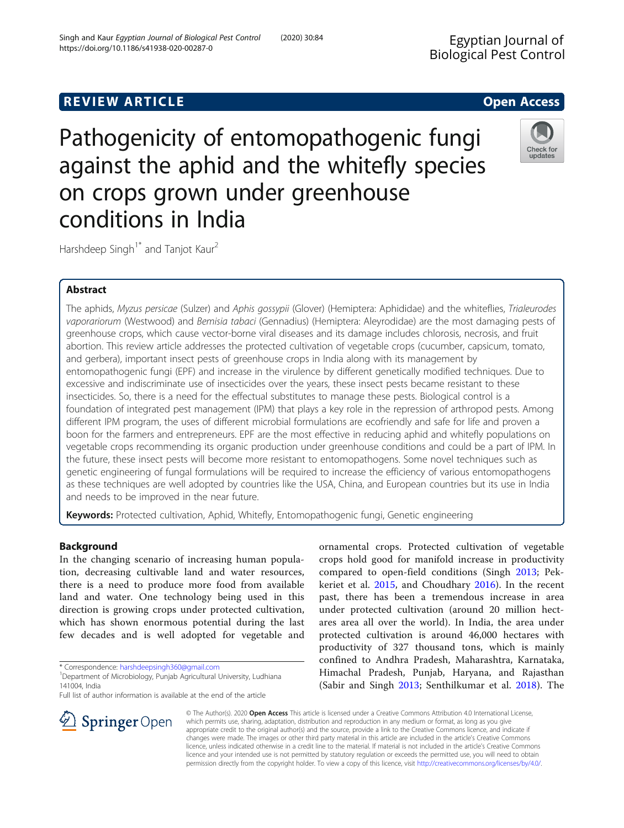# **REVIEW ARTICLE External intervention of the Community Community Community Community Community Community Community**

Pathogenicity of entomopathogenic fungi against the aphid and the whitefly species on crops grown under greenhouse conditions in India

Harshdeep Singh<sup>1\*</sup> and Tanjot Kaur<sup>2</sup>

# Abstract

The aphids, Myzus persicae (Sulzer) and Aphis gossypii (Glover) (Hemiptera: Aphididae) and the whiteflies, Trialeurodes vaporariorum (Westwood) and Bemisia tabaci (Gennadius) (Hemiptera: Aleyrodidae) are the most damaging pests of greenhouse crops, which cause vector-borne viral diseases and its damage includes chlorosis, necrosis, and fruit abortion. This review article addresses the protected cultivation of vegetable crops (cucumber, capsicum, tomato, and gerbera), important insect pests of greenhouse crops in India along with its management by entomopathogenic fungi (EPF) and increase in the virulence by different genetically modified techniques. Due to excessive and indiscriminate use of insecticides over the years, these insect pests became resistant to these insecticides. So, there is a need for the effectual substitutes to manage these pests. Biological control is a foundation of integrated pest management (IPM) that plays a key role in the repression of arthropod pests. Among different IPM program, the uses of different microbial formulations are ecofriendly and safe for life and proven a boon for the farmers and entrepreneurs. EPF are the most effective in reducing aphid and whitefly populations on vegetable crops recommending its organic production under greenhouse conditions and could be a part of IPM. In the future, these insect pests will become more resistant to entomopathogens. Some novel techniques such as genetic engineering of fungal formulations will be required to increase the efficiency of various entomopathogens as these techniques are well adopted by countries like the USA, China, and European countries but its use in India and needs to be improved in the near future.

Keywords: Protected cultivation, Aphid, Whitefly, Entomopathogenic fungi, Genetic engineering

### Background

In the changing scenario of increasing human population, decreasing cultivable land and water resources, there is a need to produce more food from available land and water. One technology being used in this direction is growing crops under protected cultivation, which has shown enormous potential during the last few decades and is well adopted for vegetable and

\* Correspondence: [harshdeepsingh360@gmail.com](mailto:harshdeepsingh360@gmail.com) <sup>1</sup>

 $\mathscr{L}$  Springer Open

Full list of author information is available at the end of the article

© The Author(s). 2020 Open Access This article is licensed under a Creative Commons Attribution 4.0 International License, which permits use, sharing, adaptation, distribution and reproduction in any medium or format, as long as you give appropriate credit to the original author(s) and the source, provide a link to the Creative Commons licence, and indicate if changes were made. The images or other third party material in this article are included in the article's Creative Commons licence, unless indicated otherwise in a credit line to the material. If material is not included in the article's Creative Commons licence and your intended use is not permitted by statutory regulation or exceeds the permitted use, you will need to obtain permission directly from the copyright holder. To view a copy of this licence, visit <http://creativecommons.org/licenses/by/4.0/>.

crops hold good for manifold increase in productivity compared to open-field conditions (Singh [2013;](#page-7-0) Pekkeriet et al. [2015](#page-7-0), and Choudhary [2016](#page-6-0)). In the recent past, there has been a tremendous increase in area under protected cultivation (around 20 million hectares area all over the world). In India, the area under protected cultivation is around 46,000 hectares with productivity of 327 thousand tons, which is mainly confined to Andhra Pradesh, Maharashtra, Karnataka, Himachal Pradesh, Punjab, Haryana, and Rajasthan (Sabir and Singh [2013](#page-7-0); Senthilkumar et al. [2018\)](#page-7-0). The

ornamental crops. Protected cultivation of vegetable





<sup>&</sup>lt;sup>1</sup> Department of Microbiology, Punjab Agricultural University, Ludhiana 141004, India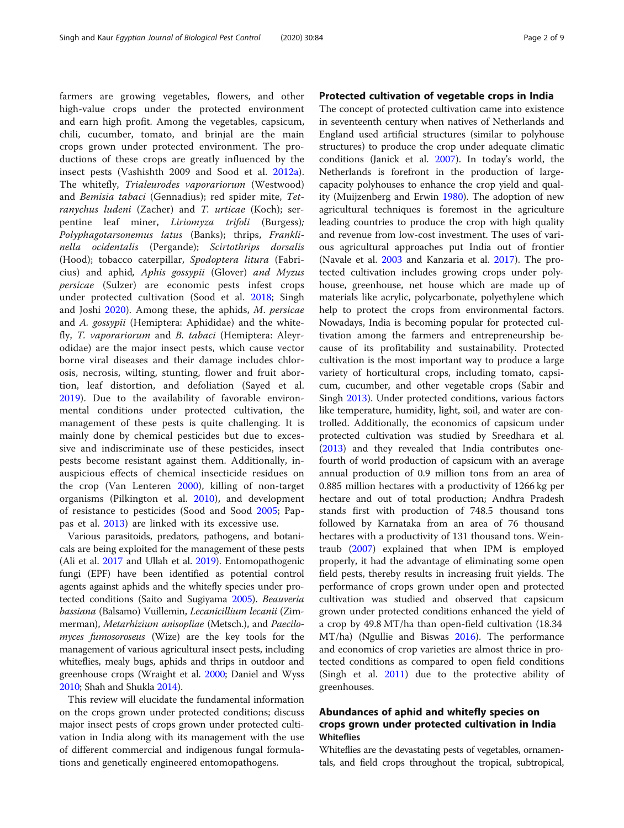farmers are growing vegetables, flowers, and other high-value crops under the protected environment and earn high profit. Among the vegetables, capsicum, chili, cucumber, tomato, and brinjal are the main crops grown under protected environment. The productions of these crops are greatly influenced by the insect pests (Vashishth 2009 and Sood et al. [2012a](#page-8-0)). The whitefly, Trialeurodes vaporariorum (Westwood) and Bemisia tabaci (Gennadius); red spider mite, Tetranychus ludeni (Zacher) and T. urticae (Koch); serpentine leaf miner, Liriomyza trifoli (Burgess); Polyphagotarsonemus latus (Banks); thrips, Franklinella ocidentalis (Pergande); Scirtothrips dorsalis (Hood); tobacco caterpillar, Spodoptera litura (Fabricius) and aphid, Aphis gossypii (Glover) and Myzus persicae (Sulzer) are economic pests infest crops under protected cultivation (Sood et al. [2018](#page-8-0); Singh and Joshi [2020](#page-7-0)). Among these, the aphids, M. persicae and A. gossypii (Hemiptera: Aphididae) and the whitefly, T. vaporariorum and B. tabaci (Hemiptera: Aleyrodidae) are the major insect pests, which cause vector borne viral diseases and their damage includes chlorosis, necrosis, wilting, stunting, flower and fruit abortion, leaf distortion, and defoliation (Sayed et al. [2019\)](#page-7-0). Due to the availability of favorable environmental conditions under protected cultivation, the management of these pests is quite challenging. It is mainly done by chemical pesticides but due to excessive and indiscriminate use of these pesticides, insect pests become resistant against them. Additionally, inauspicious effects of chemical insecticide residues on the crop (Van Lenteren [2000](#page-8-0)), killing of non-target organisms (Pilkington et al. [2010\)](#page-7-0), and development of resistance to pesticides (Sood and Sood [2005;](#page-8-0) Pappas et al. [2013](#page-7-0)) are linked with its excessive use.

Various parasitoids, predators, pathogens, and botanicals are being exploited for the management of these pests (Ali et al. [2017](#page-6-0) and Ullah et al. [2019](#page-8-0)). Entomopathogenic fungi (EPF) have been identified as potential control agents against aphids and the whitefly species under protected conditions (Saito and Sugiyama [2005\)](#page-7-0). Beauveria bassiana (Balsamo) Vuillemin, Lecanicillium lecanii (Zimmerman), Metarhizium anisopliae (Metsch.), and Paecilomyces fumosoroseus (Wize) are the key tools for the management of various agricultural insect pests, including whiteflies, mealy bugs, aphids and thrips in outdoor and greenhouse crops (Wraight et al. [2000;](#page-8-0) Daniel and Wyss [2010;](#page-6-0) Shah and Shukla [2014](#page-7-0)).

This review will elucidate the fundamental information on the crops grown under protected conditions; discuss major insect pests of crops grown under protected cultivation in India along with its management with the use of different commercial and indigenous fungal formulations and genetically engineered entomopathogens.

### Protected cultivation of vegetable crops in India

The concept of protected cultivation came into existence in seventeenth century when natives of Netherlands and England used artificial structures (similar to polyhouse structures) to produce the crop under adequate climatic conditions (Janick et al. [2007\)](#page-6-0). In today's world, the Netherlands is forefront in the production of largecapacity polyhouses to enhance the crop yield and quality (Muijzenberg and Erwin [1980](#page-7-0)). The adoption of new agricultural techniques is foremost in the agriculture leading countries to produce the crop with high quality and revenue from low-cost investment. The uses of various agricultural approaches put India out of frontier (Navale et al. [2003](#page-7-0) and Kanzaria et al. [2017](#page-6-0)). The protected cultivation includes growing crops under polyhouse, greenhouse, net house which are made up of materials like acrylic, polycarbonate, polyethylene which help to protect the crops from environmental factors. Nowadays, India is becoming popular for protected cultivation among the farmers and entrepreneurship because of its profitability and sustainability. Protected cultivation is the most important way to produce a large variety of horticultural crops, including tomato, capsicum, cucumber, and other vegetable crops (Sabir and Singh [2013\)](#page-7-0). Under protected conditions, various factors like temperature, humidity, light, soil, and water are controlled. Additionally, the economics of capsicum under protected cultivation was studied by Sreedhara et al. ([2013\)](#page-8-0) and they revealed that India contributes onefourth of world production of capsicum with an average annual production of 0.9 million tons from an area of 0.885 million hectares with a productivity of 1266 kg per hectare and out of total production; Andhra Pradesh stands first with production of 748.5 thousand tons followed by Karnataka from an area of 76 thousand hectares with a productivity of 131 thousand tons. Weintraub [\(2007\)](#page-8-0) explained that when IPM is employed properly, it had the advantage of eliminating some open field pests, thereby results in increasing fruit yields. The performance of crops grown under open and protected cultivation was studied and observed that capsicum grown under protected conditions enhanced the yield of a crop by 49.8 MT/ha than open-field cultivation (18.34 MT/ha) (Ngullie and Biswas [2016\)](#page-7-0). The performance and economics of crop varieties are almost thrice in protected conditions as compared to open field conditions (Singh et al. [2011\)](#page-7-0) due to the protective ability of greenhouses.

### Abundances of aphid and whitefly species on crops grown under protected cultivation in India Whiteflies

Whiteflies are the devastating pests of vegetables, ornamentals, and field crops throughout the tropical, subtropical,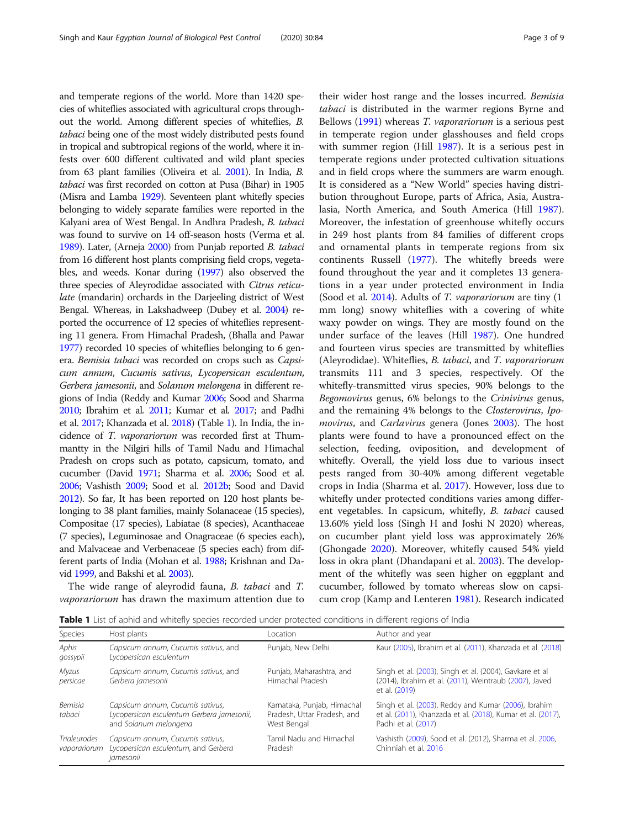<span id="page-2-0"></span>and temperate regions of the world. More than 1420 species of whiteflies associated with agricultural crops throughout the world. Among different species of whiteflies, B. tabaci being one of the most widely distributed pests found in tropical and subtropical regions of the world, where it infests over 600 different cultivated and wild plant species from 63 plant families (Oliveira et al. [2001](#page-7-0)). In India, B. tabaci was first recorded on cotton at Pusa (Bihar) in 1905 (Misra and Lamba [1929](#page-7-0)). Seventeen plant whitefly species belonging to widely separate families were reported in the Kalyani area of West Bengal. In Andhra Pradesh, B. tabaci was found to survive on 14 off-season hosts (Verma et al. [1989\)](#page-8-0). Later, (Arneja [2000](#page-6-0)) from Punjab reported B. tabaci from 16 different host plants comprising field crops, vegetables, and weeds. Konar during ([1997](#page-7-0)) also observed the three species of Aleyrodidae associated with Citrus reticulate (mandarin) orchards in the Darjeeling district of West Bengal. Whereas, in Lakshadweep (Dubey et al. [2004](#page-6-0)) reported the occurrence of 12 species of whiteflies representing 11 genera. From Himachal Pradesh, (Bhalla and Pawar [1977\)](#page-6-0) recorded 10 species of whiteflies belonging to 6 genera. Bemisia tabaci was recorded on crops such as Capsicum annum, Cucumis sativus, Lycopersican esculentum, Gerbera jamesonii, and Solanum melongena in different regions of India (Reddy and Kumar [2006;](#page-7-0) Sood and Sharma [2010;](#page-8-0) Ibrahim et al. [2011](#page-6-0); Kumar et al. [2017;](#page-7-0) and Padhi et al. [2017;](#page-7-0) Khanzada et al. [2018\)](#page-7-0) (Table 1). In India, the incidence of T. vaporariorum was recorded first at Thummantty in the Nilgiri hills of Tamil Nadu and Himachal Pradesh on crops such as potato, capsicum, tomato, and cucumber (David [1971;](#page-6-0) Sharma et al. [2006;](#page-7-0) Sood et al. [2006;](#page-8-0) Vashisth [2009;](#page-8-0) Sood et al. [2012b;](#page-8-0) Sood and David [2012\)](#page-8-0). So far, It has been reported on 120 host plants belonging to 38 plant families, mainly Solanaceae (15 species), Compositae (17 species), Labiatae (8 species), Acanthaceae (7 species), Leguminosae and Onagraceae (6 species each), and Malvaceae and Verbenaceae (5 species each) from different parts of India (Mohan et al. [1988](#page-7-0); Krishnan and David [1999,](#page-7-0) and Bakshi et al. [2003\)](#page-6-0).

The wide range of aleyrodid fauna, B. tabaci and T. vaporariorum has drawn the maximum attention due to

their wider host range and the losses incurred. Bemisia tabaci is distributed in the warmer regions Byrne and Bellows ([1991\)](#page-6-0) whereas T. vaporariorum is a serious pest in temperate region under glasshouses and field crops with summer region (Hill [1987](#page-6-0)). It is a serious pest in temperate regions under protected cultivation situations and in field crops where the summers are warm enough. It is considered as a "New World" species having distribution throughout Europe, parts of Africa, Asia, Australasia, North America, and South America (Hill [1987](#page-6-0)). Moreover, the infestation of greenhouse whitefly occurs in 249 host plants from 84 families of different crops and ornamental plants in temperate regions from six continents Russell ([1977](#page-7-0)). The whitefly breeds were found throughout the year and it completes 13 generations in a year under protected environment in India (Sood et al. [2014\)](#page-8-0). Adults of T. vaporariorum are tiny (1) mm long) snowy whiteflies with a covering of white waxy powder on wings. They are mostly found on the under surface of the leaves (Hill [1987](#page-6-0)). One hundred and fourteen virus species are transmitted by whiteflies (Aleyrodidae). Whiteflies, B. tabaci, and T. vaporariorum transmits 111 and 3 species, respectively. Of the whitefly-transmitted virus species, 90% belongs to the Begomovirus genus, 6% belongs to the Crinivirus genus, and the remaining 4% belongs to the Closterovirus, Ipomovirus, and Carlavirus genera (Jones [2003\)](#page-6-0). The host plants were found to have a pronounced effect on the selection, feeding, oviposition, and development of whitefly. Overall, the yield loss due to various insect pests ranged from 30-40% among different vegetable crops in India (Sharma et al. [2017](#page-7-0)). However, loss due to whitefly under protected conditions varies among different vegetables. In capsicum, whitefly, B. tabaci caused 13.60% yield loss (Singh H and Joshi N 2020) whereas, on cucumber plant yield loss was approximately 26% (Ghongade [2020\)](#page-6-0). Moreover, whitefly caused 54% yield loss in okra plant (Dhandapani et al. [2003](#page-6-0)). The development of the whitefly was seen higher on eggplant and cucumber, followed by tomato whereas slow on capsicum crop (Kamp and Lenteren [1981\)](#page-8-0). Research indicated

Table 1 List of aphid and whitefly species recorded under protected conditions in different regions of India

| <b>Species</b>                      | Host plants                                                                                             | l ocation                                                                 | Author and year                                                                                                                            |
|-------------------------------------|---------------------------------------------------------------------------------------------------------|---------------------------------------------------------------------------|--------------------------------------------------------------------------------------------------------------------------------------------|
| Aphis<br>gossypii                   | Capsicum annum, Cucumis sativus, and<br>Lycopersican esculentum                                         | Punjab, New Delhi                                                         | Kaur (2005), Ibrahim et al. (2011), Khanzada et al. (2018)                                                                                 |
| Myzus<br>persicae                   | Capsicum annum, Cucumis sativus, and<br>Gerbera jamesonii                                               | Punjab, Maharashtra, and<br>Himachal Pradesh                              | Singh et al. (2003), Singh et al. (2004), Gavkare et al<br>(2014), Ibrahim et al. (2011), Weintraub (2007), Javed<br>et al. (2019)         |
| Bemisia<br>tabaci                   | Capsicum annum, Cucumis sativus,<br>Lycopersican esculentum Gerbera jamesonii,<br>and Solanum melongena | Karnataka, Punjab, Himachal<br>Pradesh, Uttar Pradesh, and<br>West Bengal | Singh et al. (2003), Reddy and Kumar (2006), Ibrahim<br>et al. (2011), Khanzada et al. (2018), Kumar et al. (2017),<br>Padhi et al. (2017) |
| <b>Trialeurodes</b><br>vaporariorum | Capsicum annum, Cucumis sativus,<br>Lycopersican esculentum, and Gerbera<br>jamesonii                   | Tamil Nadu and Himachal<br>Pradesh                                        | Vashisth (2009), Sood et al. (2012), Sharma et al. 2006,<br>Chinniah et al. 2016                                                           |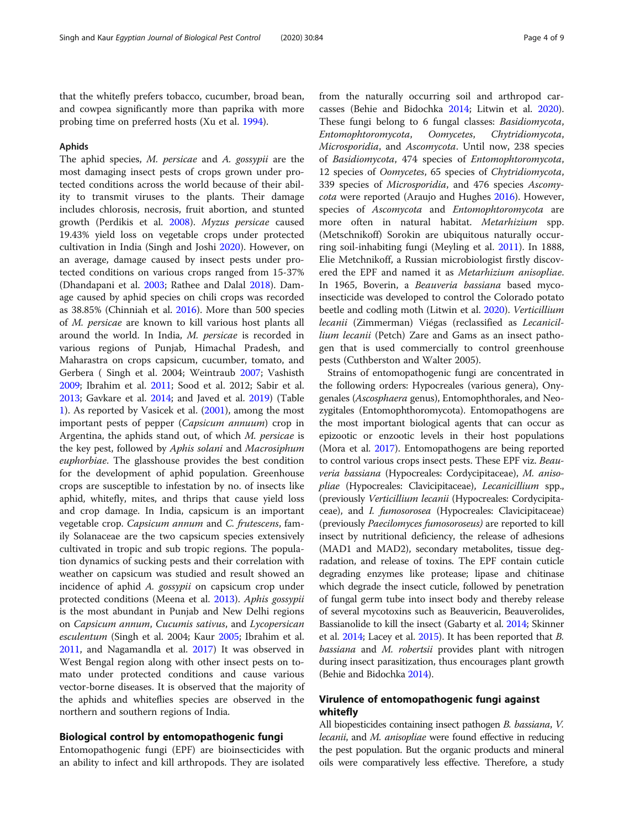that the whitefly prefers tobacco, cucumber, broad bean, and cowpea significantly more than paprika with more probing time on preferred hosts (Xu et al. [1994](#page-8-0)).

### Aphids

The aphid species, M. persicae and A. gossypii are the most damaging insect pests of crops grown under protected conditions across the world because of their ability to transmit viruses to the plants. Their damage includes chlorosis, necrosis, fruit abortion, and stunted growth (Perdikis et al. [2008](#page-7-0)). Myzus persicae caused 19.43% yield loss on vegetable crops under protected cultivation in India (Singh and Joshi [2020](#page-7-0)). However, on an average, damage caused by insect pests under protected conditions on various crops ranged from 15-37% (Dhandapani et al. [2003](#page-6-0); Rathee and Dalal [2018](#page-7-0)). Damage caused by aphid species on chili crops was recorded as 38.85% (Chinniah et al. [2016\)](#page-6-0). More than 500 species of M. persicae are known to kill various host plants all around the world. In India, M. persicae is recorded in various regions of Punjab, Himachal Pradesh, and Maharastra on crops capsicum, cucumber, tomato, and Gerbera ( Singh et al. 2004; Weintraub [2007;](#page-8-0) Vashisth [2009](#page-8-0); Ibrahim et al. [2011;](#page-6-0) Sood et al. 2012; Sabir et al. [2013](#page-7-0); Gavkare et al. [2014](#page-6-0); and Javed et al. [2019](#page-6-0)) (Table [1\)](#page-2-0). As reported by Vasicek et al. [\(2001\)](#page-8-0), among the most important pests of pepper (Capsicum annuum) crop in Argentina, the aphids stand out, of which M. persicae is the key pest, followed by Aphis solani and Macrosiphum euphorbiae. The glasshouse provides the best condition for the development of aphid population. Greenhouse crops are susceptible to infestation by no. of insects like aphid, whitefly, mites, and thrips that cause yield loss and crop damage. In India, capsicum is an important vegetable crop. Capsicum annum and C. frutescens, family Solanaceae are the two capsicum species extensively cultivated in tropic and sub tropic regions. The population dynamics of sucking pests and their correlation with weather on capsicum was studied and result showed an incidence of aphid A. gossypii on capsicum crop under protected conditions (Meena et al. [2013](#page-7-0)). Aphis gossypii is the most abundant in Punjab and New Delhi regions on Capsicum annum, Cucumis sativus, and Lycopersican esculentum (Singh et al. 2004; Kaur [2005](#page-7-0); Ibrahim et al. [2011](#page-6-0), and Nagamandla et al. [2017\)](#page-7-0) It was observed in West Bengal region along with other insect pests on tomato under protected conditions and cause various vector-borne diseases. It is observed that the majority of the aphids and whiteflies species are observed in the northern and southern regions of India.

### Biological control by entomopathogenic fungi

Entomopathogenic fungi (EPF) are bioinsecticides with an ability to infect and kill arthropods. They are isolated from the naturally occurring soil and arthropod carcasses (Behie and Bidochka [2014](#page-6-0); Litwin et al. [2020](#page-7-0)). These fungi belong to 6 fungal classes: Basidiomycota, Entomophtoromycota, Oomycetes, Chytridiomycota, Microsporidia, and Ascomycota. Until now, 238 species of Basidiomycota, 474 species of Entomophtoromycota, 12 species of Oomycetes, 65 species of Chytridiomycota, 339 species of Microsporidia, and 476 species Ascomycota were reported (Araujo and Hughes [2016](#page-6-0)). However, species of Ascomycota and Entomophtoromycota are more often in natural habitat. Metarhizium spp. (Metschnikoff) Sorokin are ubiquitous naturally occurring soil-inhabiting fungi (Meyling et al. [2011](#page-7-0)). In 1888, Elie Metchnikoff, a Russian microbiologist firstly discovered the EPF and named it as Metarhizium anisopliae. In 1965, Boverin, a Beauveria bassiana based mycoinsecticide was developed to control the Colorado potato beetle and codling moth (Litwin et al. [2020\)](#page-7-0). Verticillium lecanii (Zimmerman) Viégas (reclassified as Lecanicillium lecanii (Petch) Zare and Gams as an insect pathogen that is used commercially to control greenhouse pests (Cuthberston and Walter 2005).

Strains of entomopathogenic fungi are concentrated in the following orders: Hypocreales (various genera), Onygenales (Ascosphaera genus), Entomophthorales, and Neozygitales (Entomophthoromycota). Entomopathogens are the most important biological agents that can occur as epizootic or enzootic levels in their host populations (Mora et al. [2017\)](#page-7-0). Entomopathogens are being reported to control various crops insect pests. These EPF viz. Beauveria bassiana (Hypocreales: Cordycipitaceae), M. anisopliae (Hypocreales: Clavicipitaceae), Lecanicillium spp., (previously Verticillium lecanii (Hypocreales: Cordycipitaceae), and I. fumosorosea (Hypocreales: Clavicipitaceae) (previously Paecilomyces fumosoroseus) are reported to kill insect by nutritional deficiency, the release of adhesions (MAD1 and MAD2), secondary metabolites, tissue degradation, and release of toxins. The EPF contain cuticle degrading enzymes like protease; lipase and chitinase which degrade the insect cuticle, followed by penetration of fungal germ tube into insect body and thereby release of several mycotoxins such as Beauvericin, Beauverolides, Bassianolide to kill the insect (Gabarty et al. [2014;](#page-6-0) Skinner et al. [2014](#page-7-0); Lacey et al. [2015\)](#page-7-0). It has been reported that B. bassiana and M. robertsii provides plant with nitrogen during insect parasitization, thus encourages plant growth (Behie and Bidochka [2014\)](#page-6-0).

### Virulence of entomopathogenic fungi against whitefly

All biopesticides containing insect pathogen B. bassiana, V. *lecanii*, and *M. anisopliae* were found effective in reducing the pest population. But the organic products and mineral oils were comparatively less effective. Therefore, a study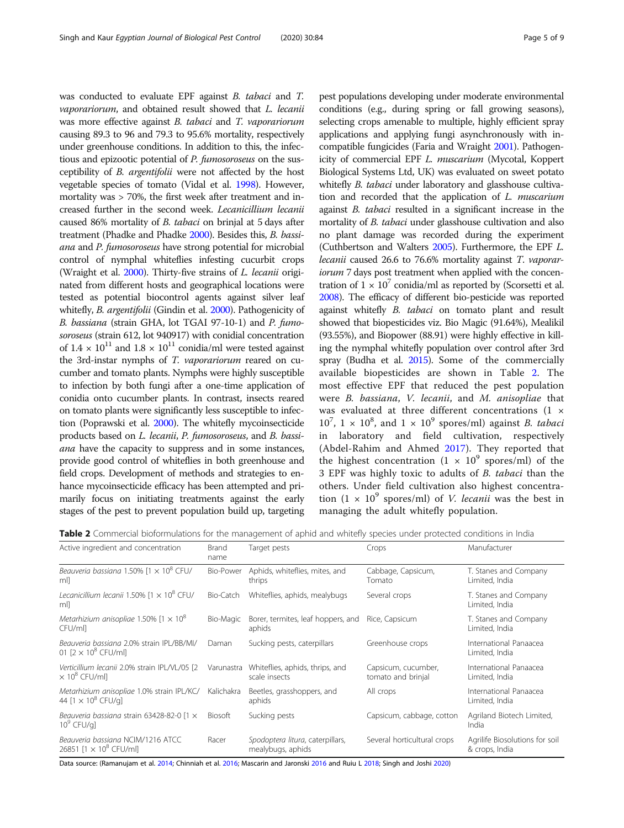<span id="page-4-0"></span>was conducted to evaluate EPF against B. tabaci and T. vaporariorum, and obtained result showed that L. lecanii was more effective against B. tabaci and T. vaporariorum causing 89.3 to 96 and 79.3 to 95.6% mortality, respectively under greenhouse conditions. In addition to this, the infectious and epizootic potential of P. fumosoroseus on the susceptibility of B. argentifolii were not affected by the host vegetable species of tomato (Vidal et al. [1998\)](#page-8-0). However, mortality was > 70%, the first week after treatment and increased further in the second week. Lecanicillium lecanii caused 86% mortality of B. tabaci on brinjal at 5 days after treatment (Phadke and Phadke [2000\)](#page-7-0). Besides this, B. bassiana and P. fumosoroseus have strong potential for microbial control of nymphal whiteflies infesting cucurbit crops (Wraight et al. [2000\)](#page-8-0). Thirty-five strains of L. lecanii originated from different hosts and geographical locations were tested as potential biocontrol agents against silver leaf whitefly, B. argentifolii (Gindin et al. [2000\)](#page-6-0). Pathogenicity of B. bassiana (strain GHA, lot TGAI 97-10-1) and P. fumosoroseus (strain 612, lot 940917) with conidial concentration of  $1.4 \times 10^{11}$  and  $1.8 \times 10^{11}$  conidia/ml were tested against the 3rd-instar nymphs of T. vaporariorum reared on cucumber and tomato plants. Nymphs were highly susceptible to infection by both fungi after a one-time application of conidia onto cucumber plants. In contrast, insects reared on tomato plants were significantly less susceptible to infection (Poprawski et al. [2000](#page-7-0)). The whitefly mycoinsecticide products based on L. lecanii, P. fumosoroseus, and B. bassiana have the capacity to suppress and in some instances, provide good control of whiteflies in both greenhouse and field crops. Development of methods and strategies to enhance mycoinsecticide efficacy has been attempted and primarily focus on initiating treatments against the early stages of the pest to prevent population build up, targeting

pest populations developing under moderate environmental conditions (e.g., during spring or fall growing seasons), selecting crops amenable to multiple, highly efficient spray applications and applying fungi asynchronously with incompatible fungicides (Faria and Wraight [2001](#page-6-0)). Pathogenicity of commercial EPF L. muscarium (Mycotal, Koppert Biological Systems Ltd, UK) was evaluated on sweet potato whitefly *B. tabaci* under laboratory and glasshouse cultivation and recorded that the application of L. muscarium against B. tabaci resulted in a significant increase in the mortality of *B. tabaci* under glasshouse cultivation and also no plant damage was recorded during the experiment (Cuthbertson and Walters [2005\)](#page-6-0). Furthermore, the EPF L. lecanii caused 26.6 to 76.6% mortality against T. vaporariorum 7 days post treatment when applied with the concentration of  $1 \times 10^7$  conidia/ml as reported by (Scorsetti et al. [2008\)](#page-7-0). The efficacy of different bio-pesticide was reported against whitefly B. tabaci on tomato plant and result showed that biopesticides viz. Bio Magic (91.64%), Mealikil (93.55%), and Biopower (88.91) were highly effective in killing the nymphal whitefly population over control after 3rd spray (Budha et al. [2015\)](#page-6-0). Some of the commercially available biopesticides are shown in Table 2. The most effective EPF that reduced the pest population were B. bassiana, V. lecanii, and M. anisopliae that was evaluated at three different concentrations (1 ×  $10^7$ ,  $1 \times 10^8$ , and  $1 \times 10^9$  spores/ml) against *B. tabaci* in laboratory and field cultivation, respectively (Abdel-Rahim and Ahmed [2017\)](#page-6-0). They reported that the highest concentration  $(1 \times 10^9 \text{ spores/ml})$  of the 3 EPF was highly toxic to adults of B. tabaci than the others. Under field cultivation also highest concentration  $(1 \times 10^9$  spores/ml) of *V. lecanii* was the best in managing the adult whitefly population.

Table 2 Commercial bioformulations for the management of aphid and whitefly species under protected conditions in India

| Active ingredient and concentration                                               | Brand<br>name  | Target pests                                          | Crops                                     | Manufacturer                                     |
|-----------------------------------------------------------------------------------|----------------|-------------------------------------------------------|-------------------------------------------|--------------------------------------------------|
| Beauveria bassiana 1.50% [1 $\times$ 10 <sup>8</sup> CFU/<br>ml]                  | Bio-Power      | Aphids, whiteflies, mites, and<br>thrips              | Cabbage, Capsicum,<br>Tomato              | T. Stanes and Company<br>Limited, India          |
| Lecanicillium lecanii 1.50% $[1 \times 10^8$ CFU/<br>ml]                          | Bio-Catch      | Whiteflies, aphids, mealybugs                         | Several crops                             | T. Stanes and Company<br>Limited, India          |
| Metarhizium anisopliae 1.50% $[1 \times 10^8]$<br>CFU/mll                         | Bio-Magic      | Borer, termites, leaf hoppers, and<br>aphids          | Rice, Capsicum                            | T. Stanes and Company<br>Limited, India          |
| Beauveria bassiana 2.0% strain IPL/BB/MI/<br>01 $[2 \times 10^8 \text{ CFU/ml}]$  | Daman          | Sucking pests, caterpillars                           | Greenhouse crops                          | International Panaacea<br>Limited, India         |
| Verticillium lecanii 2.0% strain IPL/VL/05 [2<br>$\times$ 10 <sup>8</sup> CFU/ml] | Varunastra     | Whiteflies, aphids, thrips, and<br>scale insects      | Capsicum, cucumber,<br>tomato and brinjal | International Panaacea<br>Limited, India         |
| Metarhizium anisopliae 1.0% strain IPL/KC/<br>44 $[1 \times 10^8$ CFU/g]          | Kalichakra     | Beetles, grasshoppers, and<br>aphids                  | All crops                                 | International Panaacea<br>Limited, India         |
| Beauveria bassiana strain 63428-82-0 [1 ×<br>$10^9$ CFU/g]                        | <b>Biosoft</b> | Sucking pests                                         | Capsicum, cabbage, cotton                 | Agriland Biotech Limited,<br>India               |
| Beauveria bassiana NCIM/1216 ATCC<br>26851 $[1 \times 10^8$ CFU/mll               | Racer          | Spodoptera litura, caterpillars,<br>mealybugs, aphids | Several horticultural crops               | Agrilife Biosolutions for soil<br>& crops, India |

Data source: (Ramanujam et al. [2014;](#page-7-0) Chinniah et al. [2016;](#page-6-0) Mascarin and Jaronski [2016](#page-7-0) and Ruiu L [2018;](#page-7-0) Singh and Joshi [2020](#page-7-0))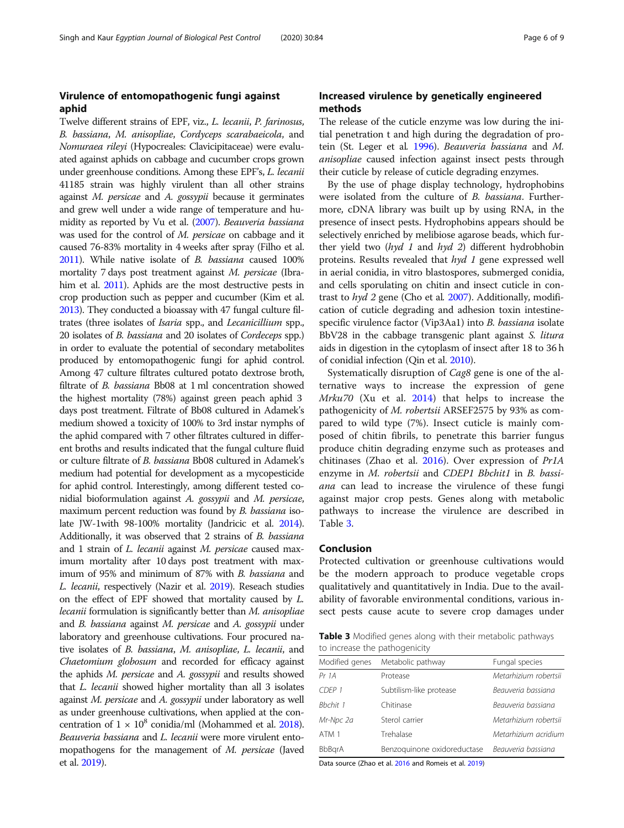## Virulence of entomopathogenic fungi against aphid

Twelve different strains of EPF, viz., L. lecanii, P. farinosus, B. bassiana, M. anisopliae, Cordyceps scarabaeicola, and Nomuraea rileyi (Hypocreales: Clavicipitaceae) were evaluated against aphids on cabbage and cucumber crops grown under greenhouse conditions. Among these EPF's, L. lecanii 41185 strain was highly virulent than all other strains against M. persicae and A. gossypii because it germinates and grew well under a wide range of temperature and humidity as reported by Vu et al. [\(2007](#page-8-0)). Beauveria bassiana was used for the control of M. persicae on cabbage and it caused 76-83% mortality in 4 weeks after spray (Filho et al. [2011\)](#page-6-0). While native isolate of B. bassiana caused 100% mortality 7 days post treatment against M. persicae (Ibrahim et al. [2011](#page-6-0)). Aphids are the most destructive pests in crop production such as pepper and cucumber (Kim et al. [2013\)](#page-7-0). They conducted a bioassay with 47 fungal culture filtrates (three isolates of Isaria spp., and Lecanicillium spp., 20 isolates of B. bassiana and 20 isolates of Cordeceps spp.) in order to evaluate the potential of secondary metabolites produced by entomopathogenic fungi for aphid control. Among 47 culture filtrates cultured potato dextrose broth, filtrate of B. bassiana Bb08 at 1 ml concentration showed the highest mortality (78%) against green peach aphid 3 days post treatment. Filtrate of Bb08 cultured in Adamek's medium showed a toxicity of 100% to 3rd instar nymphs of the aphid compared with 7 other filtrates cultured in different broths and results indicated that the fungal culture fluid or culture filtrate of B. bassiana Bb08 cultured in Adamek's medium had potential for development as a mycopesticide for aphid control. Interestingly, among different tested conidial bioformulation against A. gossypii and M. persicae, maximum percent reduction was found by B. bassiana isolate JW-1with 98-100% mortality (Jandricic et al. [2014](#page-6-0)). Additionally, it was observed that 2 strains of B. bassiana and 1 strain of L. lecanii against M. persicae caused maximum mortality after 10 days post treatment with maximum of 95% and minimum of 87% with B. bassiana and L. lecanii, respectively (Nazir et al. [2019](#page-7-0)). Reseach studies on the effect of EPF showed that mortality caused by L. lecanii formulation is significantly better than M. anisopliae and B. bassiana against M. persicae and A. gossypii under laboratory and greenhouse cultivations. Four procured native isolates of B. bassiana, M. anisopliae, L. lecanii, and Chaetomium globosum and recorded for efficacy against the aphids M. persicae and A. gossypii and results showed that L. lecanii showed higher mortality than all 3 isolates against M. persicae and A. gossypii under laboratory as well as under greenhouse cultivations, when applied at the concentration of  $1 \times 10^8$  conidia/ml (Mohammed et al. [2018](#page-7-0)). Beauveria bassiana and L. lecanii were more virulent entomopathogens for the management of M. persicae (Javed et al. [2019\)](#page-6-0).

### Increased virulence by genetically engineered methods

The release of the cuticle enzyme was low during the initial penetration t and high during the degradation of pro-tein (St. Leger et al. [1996](#page-8-0)). Beauveria bassiana and M. anisopliae caused infection against insect pests through their cuticle by release of cuticle degrading enzymes.

By the use of phage display technology, hydrophobins were isolated from the culture of B. bassiana. Furthermore, cDNA library was built up by using RNA, in the presence of insect pests. Hydrophobins appears should be selectively enriched by melibiose agarose beads, which further yield two  $(hyd \ 1$  and  $hyd \ 2)$  different hydrobhobin proteins. Results revealed that hyd 1 gene expressed well in aerial conidia, in vitro blastospores, submerged conidia, and cells sporulating on chitin and insect cuticle in contrast to hyd 2 gene (Cho et al. [2007](#page-6-0)). Additionally, modification of cuticle degrading and adhesion toxin intestinespecific virulence factor (Vip3Aa1) into B. bassiana isolate BbV28 in the cabbage transgenic plant against S. litura aids in digestion in the cytoplasm of insect after 18 to 36 h of conidial infection (Qin et al. [2010\)](#page-7-0).

Systematically disruption of Cag8 gene is one of the alternative ways to increase the expression of gene Mrku70 (Xu et al. [2014](#page-8-0)) that helps to increase the pathogenicity of M. robertsii ARSEF2575 by 93% as compared to wild type (7%). Insect cuticle is mainly composed of chitin fibrils, to penetrate this barrier fungus produce chitin degrading enzyme such as proteases and chitinases (Zhao et al. [2016](#page-8-0)). Over expression of Pr1A enzyme in M. robertsii and CDEP1 Bbchit1 in B. bassiana can lead to increase the virulence of these fungi against major crop pests. Genes along with metabolic pathways to increase the virulence are described in Table 3.

### Conclusion

Protected cultivation or greenhouse cultivations would be the modern approach to produce vegetable crops qualitatively and quantitatively in India. Due to the availability of favorable environmental conditions, various insect pests cause acute to severe crop damages under

**Table 3** Modified genes along with their metabolic pathways to increase the pathogenicity

| Modified genes | Metabolic pathway           | Fungal species        |  |
|----------------|-----------------------------|-----------------------|--|
| Pr 1A          | Protease                    | Metarhizium robertsii |  |
| CDFP 1         | Subtilism-like protease     | Beauveria bassiana    |  |
| Bhchit 1       | Chitinase                   | Beauveria bassiana    |  |
| Mr-Npc 2a      | Sterol carrier              | Metarhizium robertsii |  |
| ATM 1          | Trehalase                   | Metarhizium acridium  |  |
| <b>BbBarA</b>  | Benzoguinone oxidoreductase | Beauveria bassiana    |  |

Data source (Zhao et al. [2016](#page-8-0) and Romeis et al. [2019\)](#page-7-0)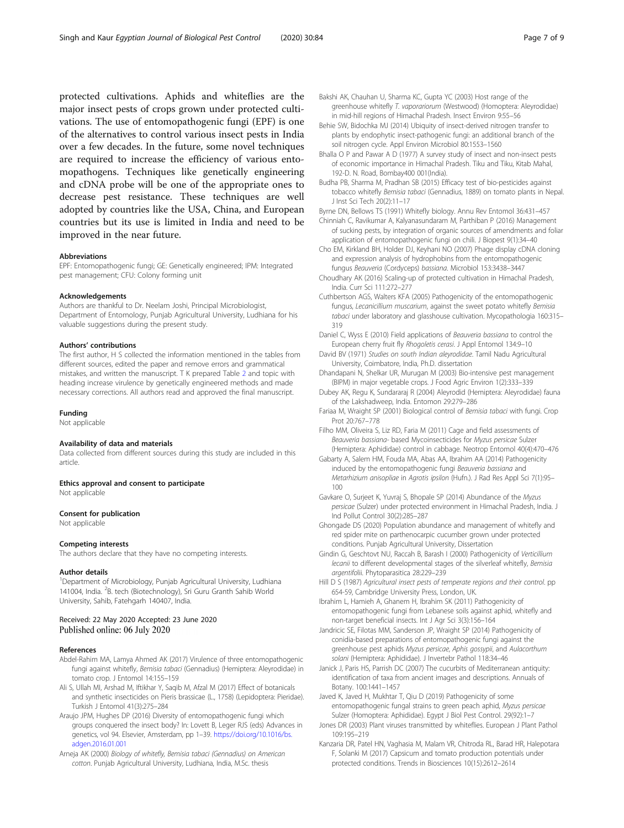<span id="page-6-0"></span>protected cultivations. Aphids and whiteflies are the major insect pests of crops grown under protected cultivations. The use of entomopathogenic fungi (EPF) is one of the alternatives to control various insect pests in India over a few decades. In the future, some novel techniques are required to increase the efficiency of various entomopathogens. Techniques like genetically engineering and cDNA probe will be one of the appropriate ones to decrease pest resistance. These techniques are well adopted by countries like the USA, China, and European countries but its use is limited in India and need to be improved in the near future.

#### Abbreviations

EPF: Entomopathogenic fungi; GE: Genetically engineered; IPM: Integrated pest management; CFU: Colony forming unit

#### Acknowledgements

Authors are thankful to Dr. Neelam Joshi, Principal Microbiologist, Department of Entomology, Punjab Agricultural University, Ludhiana for his valuable suggestions during the present study.

#### Authors' contributions

The first author, H S collected the information mentioned in the tables from different sources, edited the paper and remove errors and grammatical mistakes, and written the manuscript. T K prepared Table [2](#page-4-0) and topic with heading increase virulence by genetically engineered methods and made necessary corrections. All authors read and approved the final manuscript.

#### Funding

Not applicable

#### Availability of data and materials

Data collected from different sources during this study are included in this article.

Ethics approval and consent to participate Not applicable

#### Consent for publication

Not applicable

#### Competing interests

The authors declare that they have no competing interests.

#### Author details

<sup>1</sup>Department of Microbiology, Punjab Agricultural University, Ludhiana 141004, India. <sup>2</sup>B. tech (Biotechnology), Sri Guru Granth Sahib World University, Sahib, Fatehgarh 140407, India.

### Received: 22 May 2020 Accepted: 23 June 2020 Published online: 06 July 2020

#### References

- Abdel-Rahim MA, Lamya Ahmed AK (2017) Virulence of three entomopathogenic fungi against whitefly, Bemisia tabaci (Gennadius) (Hemiptera: Aleyrodidae) in tomato crop. J Entomol 14:155–159
- Ali S, Ullah MI, Arshad M, Iftikhar Y, Saqib M, Afzal M (2017) Effect of botanicals and synthetic insecticides on Pieris brassicae (L., 1758) (Lepidoptera: Pieridae). Turkish J Entomol 41(3):275–284
- Araujo JPM, Hughes DP (2016) Diversity of entomopathogenic fungi which groups conquered the insect body? In: Lovett B, Leger RJS (eds) Advances in genetics, vol 94. Elsevier, Amsterdam, pp 1–39. [https://doi.org/10.1016/bs.](https://doi.org/10.1016/bs.adgen.2016.01.001) [adgen.2016.01.001](https://doi.org/10.1016/bs.adgen.2016.01.001)
- Arneja AK (2000) Biology of whitefly, Bemisia tabaci (Gennadius) on American cotton. Punjab Agricultural University, Ludhiana, India, M.Sc. thesis
- Bakshi AK, Chauhan U, Sharma KC, Gupta YC (2003) Host range of the greenhouse whitefly T. vaporariorum (Westwood) (Homoptera: Aleyrodidae) in mid-hill regions of Himachal Pradesh. Insect Environ 9:55–56
- Behie SW, Bidochka MJ (2014) Ubiquity of insect-derived nitrogen transfer to plants by endophytic insect-pathogenic fungi: an additional branch of the soil nitrogen cycle. Appl Environ Microbiol 80:1553–1560
- Bhalla O P and Pawar A D (1977) A survey study of insect and non-insect pests of economic importance in Himachal Pradesh. Tiku and Tiku, Kitab Mahal, 192-D. N. Road, Bombay400 001(India).
- Budha PB, Sharma M, Pradhan SB (2015) Efficacy test of bio-pesticides against tobacco whitefly Bemisia tabaci (Gennadius, 1889) on tomato plants in Nepal. J Inst Sci Tech 20(2):11–17
- Byrne DN, Bellows TS (1991) Whitefly biology. Annu Rev Entomol 36:431–457
- Chinniah C, Ravikumar A, Kalyanasundaram M, Parthiban P (2016) Management of sucking pests, by integration of organic sources of amendments and foliar application of entomopathogenic fungi on chili. J Biopest 9(1):34–40
- Cho EM, Kirkland BH, Holder DJ, Keyhani NO (2007) Phage display cDNA cloning and expression analysis of hydrophobins from the entomopathogenic fungus Beauveria (Cordyceps) bassiana. Microbiol 153:3438–3447
- Choudhary AK (2016) Scaling-up of protected cultivation in Himachal Pradesh, India. Curr Sci 111:272–277
- Cuthbertson AGS, Walters KFA (2005) Pathogenicity of the entomopathogenic fungus, Lecanicillium muscarium, against the sweet potato whitefly Bemisia tabaci under laboratory and glasshouse cultivation. Mycopathologia 160:315– 319
- Daniel C, Wyss E (2010) Field applications of Beauveria bassiana to control the European cherry fruit fly Rhogoletis cerasi. J Appl Entomol 134:9–10
- David BV (1971) Studies on south Indian aleyrodidae. Tamil Nadu Agricultural University, Coimbatore, India, Ph.D. dissertation
- Dhandapani N, Shelkar UR, Murugan M (2003) Bio-intensive pest management (BIPM) in major vegetable crops. J Food Agric Environ 1(2):333–339
- Dubey AK, Regu K, Sundararaj R (2004) Aleyrodid (Hemiptera: Aleyrodidae) fauna of the Lakshadweep, India. Entomon 29:279–286
- Fariaa M, Wraight SP (2001) Biological control of Bemisia tabaci with fungi. Crop Prot 20:767–778
- Filho MM, Oliveira S, Liz RD, Faria M (2011) Cage and field assessments of Beauveria bassiana- based Mycoinsecticides for Myzus persicae Sulzer (Hemiptera: Aphididae) control in cabbage. Neotrop Entomol 40(4):470–476
- Gabarty A, Salem HM, Fouda MA, Abas AA, Ibrahim AA (2014) Pathogenicity induced by the entomopathogenic fungi Beauveria bassiana and Metarhizium anisopliae in Agrotis ipsilon (Hufn.). J Rad Res Appl Sci 7(1):95– 100
- Gavkare O, Surjeet K, Yuvraj S, Bhopale SP (2014) Abundance of the Myzus persicae (Sulzer) under protected environment in Himachal Pradesh, India. J Ind Pollut Control 30(2):285–287
- Ghongade DS (2020) Population abundance and management of whitefly and red spider mite on parthenocarpic cucumber grown under protected conditions. Punjab Agricultural University, Dissertation
- Gindin G, Geschtovt NU, Raccah B, Barash I (2000) Pathogenicity of Verticillium lecanii to different developmental stages of the silverleaf whitefly, Bemisia argentifolii. Phytoparasitica 28:229–239
- Hill D S (1987) Agricultural insect pests of temperate regions and their control. pp 654-59, Cambridge University Press, London, UK.
- Ibrahim L, Hamieh A, Ghanem H, Ibrahim SK (2011) Pathogenicity of entomopathogenic fungi from Lebanese soils against aphid, whitefly and non-target beneficial insects. Int J Agr Sci 3(3):156–164
- Jandricic SE, Filotas MM, Sanderson JP, Wraight SP (2014) Pathogenicity of conidia-based preparations of entomopathogenic fungi against the greenhouse pest aphids Myzus persicae, Aphis gossypii, and Aulacorthum solani (Hemiptera: Aphididae). J Invertebr Pathol 118:34–46
- Janick J, Paris HS, Parrish DC (2007) The cucurbits of Mediterranean antiquity: identification of taxa from ancient images and descriptions. Annuals of Botany. 100:1441–1457
- Javed K, Javed H, Mukhtar T, Qiu D (2019) Pathogenicity of some entomopathogenic fungal strains to green peach aphid, Myzus persicae Sulzer (Homoptera: Aphididae). Egypt J Biol Pest Control. 29(92):1–7
- Jones DR (2003) Plant viruses transmitted by whiteflies. European J Plant Pathol 109:195–219
- Kanzaria DR, Patel HN, Vaghasia M, Malam VR, Chitroda RL, Barad HR, Halepotara F, Solanki M (2017) Capsicum and tomato production potentials under protected conditions. Trends in Biosciences 10(15):2612–2614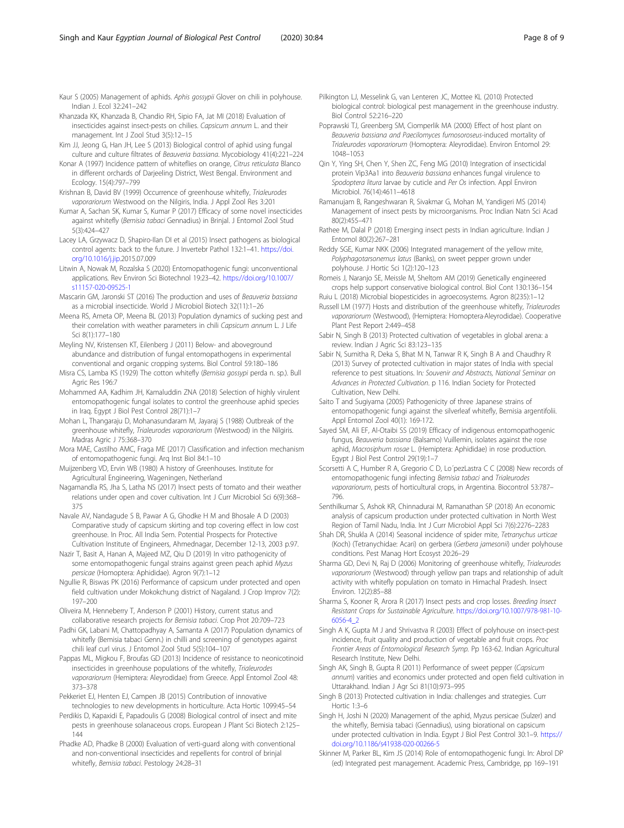- <span id="page-7-0"></span>Khanzada KK, Khanzada B, Chandio RH, Sipio FA, Jat MI (2018) Evaluation of insecticides against insect-pests on chilies. Capsicum annum L. and their management. Int J Zool Stud 3(5):12–15
- Kim JJ, Jeong G, Han JH, Lee S (2013) Biological control of aphid using fungal culture and culture filtrates of Beauveria bassiana. Mycobiology 41(4):221–224
- Konar A (1997) Incidence pattern of whiteflies on orange, Citrus reticulata Blanco in different orchards of Darjeeling District, West Bengal. Environment and Ecology. 15(4):797–799
- Krishnan B, David BV (1999) Occurrence of greenhouse whitefly, Trialeurodes vaporariorum Westwood on the Nilgiris, India. J Appl Zool Res 3:201
- Kumar A, Sachan SK, Kumar S, Kumar P (2017) Efficacy of some novel insecticides against whitefly (Bemisia tabaci Gennadius) in Brinjal. J Entomol Zool Stud 5(3):424–427
- Lacey LA, Grzywacz D, Shapiro-Ilan DI et al (2015) Insect pathogens as biological control agents: back to the future. J Invertebr Pathol 132:1–41. [https://doi.](https://doi.org/10.1016/j.jip) [org/10.1016/j.jip](https://doi.org/10.1016/j.jip).2015.07.009
- Litwin A, Nowak M, Rozalska S (2020) Entomopathogenic fungi: unconventional applications. Rev Environ Sci Biotechnol 19:23–42. [https://doi.org/10.1007/](https://doi.org/10.1007/s11157-020-09525-1) [s11157-020-09525-1](https://doi.org/10.1007/s11157-020-09525-1)
- Mascarin GM, Jaronski ST (2016) The production and uses of Beauveria bassiana as a microbial insecticide. World J Microbiol Biotech 32(11):1–26
- Meena RS, Ameta OP, Meena BL (2013) Population dynamics of sucking pest and their correlation with weather parameters in chili Capsicum annum L. J Life Sci 8(1):177–180
- Meyling NV, Kristensen KT, Eilenberg J (2011) Below- and aboveground abundance and distribution of fungal entomopathogens in experimental conventional and organic cropping systems. Biol Control 59:180–186
- Misra CS, Lamba KS (1929) The cotton whitefly (Bemisia gossypi perda n. sp.). Bull Agric Res 196:7
- Mohammed AA, Kadhim JH, Kamaluddin ZNA (2018) Selection of highly virulent entomopathogenic fungal isolates to control the greenhouse aphid species in Iraq. Egypt J Biol Pest Control 28(71):1–7
- Mohan L, Thangaraju D, Mohanasundaram M, Jayaraj S (1988) Outbreak of the greenhouse whitefly, Trialeurodes vaporariorum (Westwood) in the Nilgiris. Madras Agric J 75:368–370
- Mora MAE, Castilho AMC, Fraga ME (2017) Classification and infection mechanism of entomopathogenic fungi. Arq Inst Biol 84:1–10
- Muijzenberg VD, Ervin WB (1980) A history of Greenhouses. Institute for Agricultural Engineering, Wageningen, Netherland
- Nagamandla RS, Jha S, Latha NS (2017) Insect pests of tomato and their weather relations under open and cover cultivation. Int J Curr Microbiol Sci 6(9):368– 375
- Navale AV, Nandagude S B, Pawar A G, Ghodke H M and Bhosale A D (2003) Comparative study of capsicum skirting and top covering effect in low cost greenhouse. In Proc. All India Sem. Potential Prospects for Protective Cultivation Institute of Engineers, Ahmednagar, December 12-13, 2003 p.97.
- Nazir T, Basit A, Hanan A, Majeed MZ, Qiu D (2019) In vitro pathogenicity of some entomopathogenic fungal strains against green peach aphid Myzus persicae (Homoptera: Aphididae). Agron 9(7):1–12
- Ngullie R, Biswas PK (2016) Performance of capsicum under protected and open field cultivation under Mokokchung district of Nagaland. J Crop Improv 7(2): 197–200
- Oliveira M, Henneberry T, Anderson P (2001) History, current status and collaborative research projects for Bemisia tabaci. Crop Prot 20:709–723
- Padhi GK, Labani M, Chattopadhyay A, Samanta A (2017) Population dynamics of whitefly (Bemisia tabaci Genn.) in chilli and screening of genotypes against chili leaf curl virus. J Entomol Zool Stud 5(5):104–107
- Pappas ML, Migkou F, Broufas GD (2013) Incidence of resistance to neonicotinoid insecticides in greenhouse populations of the whitefly, Trialeurodes vaporariorum (Hemiptera: Aleyrodidae) from Greece. Appl Entomol Zool 48: 373–378
- Pekkeriet EJ, Henten EJ, Campen JB (2015) Contribution of innovative technologies to new developments in horticulture. Acta Hortic 1099:45–54
- Perdikis D, Kapaxidi E, Papadoulis G (2008) Biological control of insect and mite pests in greenhouse solanaceous crops. European J Plant Sci Biotech 2:125– 144

Phadke AD, Phadke B (2000) Evaluation of verti-guard along with conventional and non-conventional insecticides and repellents for control of brinjal whitefly, Bemisia tabaci. Pestology 24:28–31

- Pilkington LJ, Messelink G, van Lenteren JC, Mottee KL (2010) Protected biological control: biological pest management in the greenhouse industry. Biol Control 52:216–220
- Poprawski TJ, Greenberg SM, Ciomperlik MA (2000) Effect of host plant on Beauveria bassiana and Paecilomyces fumosoroseus-induced mortality of Trialeurodes vaporariorum (Homoptera: Aleyrodidae). Environ Entomol 29: 1048–1053
- Qin Y, Ying SH, Chen Y, Shen ZC, Feng MG (2010) Integration of insecticidal protein Vip3Aa1 into Beauveria bassiana enhances fungal virulence to Spodoptera litura larvae by cuticle and Per Os infection. Appl Environ Microbiol. 76(14):4611–4618
- Ramanujam B, Rangeshwaran R, Sivakmar G, Mohan M, Yandigeri MS (2014) Management of insect pests by microorganisms. Proc Indian Natn Sci Acad 80(2):455–471
- Rathee M, Dalal P (2018) Emerging insect pests in Indian agriculture. Indian J Entomol 80(2):267–281
- Reddy SGE, Kumar NKK (2006) Integrated management of the yellow mite, Polyphagotarsonemus latus (Banks), on sweet pepper grown under polyhouse. J Hortic Sci 1(2):120–123
- Romeis J, Naranjo SE, Meissle M, Sheltom AM (2019) Genetically engineered crops help support conservative biological control. Biol Cont 130:136–154
- Ruiu L (2018) Microbial biopesticides in agroecosystems. Agron 8(235):1–12 Russell LM (1977) Hosts and distribution of the greenhouse whitefly, Trialeurodes vaporariorum (Westwood), (Hemiptera: Homoptera·Aleyrodidae). Cooperative
- Plant Pest Report 2:449–458 Sabir N, Singh B (2013) Protected cultivation of vegetables in global arena: a
- review. Indian J Agric Sci 83:123–135
- Sabir N, Sumitha R, Deka S, Bhat M N, Tanwar R K, Singh B A and Chaudhry R (2013) Survey of protected cultivation in major states of India with special reference to pest situations. In: Souvenir and Abstracts, National Seminar on Advances in Protected Cultivation. p 116. Indian Society for Protected Cultivation, New Delhi.
- Saito T and Sugiyama (2005) Pathogenicity of three Japanese strains of entomopathogenic fungi against the silverleaf whitefly, Bemisia argentifolii. Appl Entomol Zool 40(1): 169-172.
- Sayed SM, Ali EF, Al-Otaibi SS (2019) Efficacy of indigenous entomopathogenic fungus, Beauveria bassiana (Balsamo) Vuillemin, isolates against the rose aphid, Macrosiphum rosae L. (Hemiptera: Aphididae) in rose production. Egypt J Biol Pest Control 29(19):1–7
- Scorsetti A C, Humber R A, Gregorio C D, Lo´pezLastra C C (2008) New records of entomopathogenic fungi infecting Bemisia tabaci and Trialeurodes vaporariorum, pests of horticultural crops, in Argentina. Biocontrol 53:787– 796.
- Senthilkumar S, Ashok KR, Chinnadurai M, Ramanathan SP (2018) An economic analysis of capsicum production under protected cultivation in North West Region of Tamil Nadu, India. Int J Curr Microbiol Appl Sci 7(6):2276–2283
- Shah DR, Shukla A (2014) Seasonal incidence of spider mite, Tetranychus urticae (Koch) (Tetranychidae: Acari) on gerbera (Gerbera jamesonii) under polyhouse conditions. Pest Manag Hort Ecosyst 20:26–29
- Sharma GD, Devi N, Raj D (2006) Monitoring of greenhouse whitefly, Trialeurodes vaporariorum (Westwood) through yellow pan traps and relationship of adult activity with whitefly population on tomato in Himachal Pradesh. Insect Environ. 12(2):85–88
- Sharma S, Kooner R, Arora R (2017) Insect pests and crop losses. Breeding Insect Resistant Crops for Sustainable Agriculture. [https://doi.org/10.1007/978-981-10-](https://doi.org/10.1007/978-981-10-6056-4_2) [6056-4\\_2](https://doi.org/10.1007/978-981-10-6056-4_2)
- Singh A K, Gupta M J and Shrivastva R (2003) Effect of polyhouse on insect-pest incidence, fruit quality and production of vegetable and fruit crops. Proc Frontier Areas of Entomological Research Symp. Pp 163-62. Indian Agricultural Research Institute, New Delhi.
- Singh AK, Singh B, Gupta R (2011) Performance of sweet pepper (Capsicum annum) varities and economics under protected and open field cultivation in Uttarakhand. Indian J Agr Sci 81(10):973–995
- Singh B (2013) Protected cultivation in India: challenges and strategies. Curr Hortic 1:3–6
- Singh H, Joshi N (2020) Management of the aphid, Myzus persicae (Sulzer) and the whitefly, Bemisia tabaci (Gennadius), using biorational on capsicum under protected cultivation in India. Egypt J Biol Pest Control 30:1–9. [https://](https://doi.org/10.1186/s41938-020-00266-5) [doi.org/10.1186/s41938-020-00266-5](https://doi.org/10.1186/s41938-020-00266-5)
- Skinner M, Parker BL, Kim JS (2014) Role of entomopathogenic fungi. In: Abrol DP (ed) Integrated pest management. Academic Press, Cambridge, pp 169–191